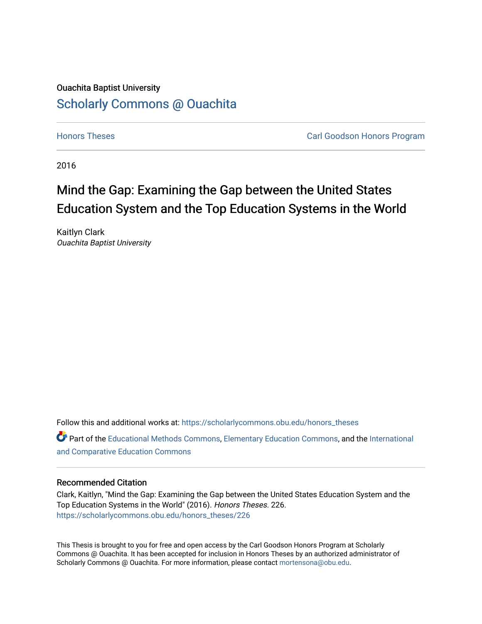## Ouachita Baptist University [Scholarly Commons @ Ouachita](https://scholarlycommons.obu.edu/)

**[Honors Theses](https://scholarlycommons.obu.edu/honors_theses) Carl Goodson Honors Program** 

2016

# Mind the Gap: Examining the Gap between the United States Education System and the Top Education Systems in the World

Kaitlyn Clark Ouachita Baptist University

Follow this and additional works at: [https://scholarlycommons.obu.edu/honors\\_theses](https://scholarlycommons.obu.edu/honors_theses?utm_source=scholarlycommons.obu.edu%2Fhonors_theses%2F226&utm_medium=PDF&utm_campaign=PDFCoverPages) 

Part of the [Educational Methods Commons,](http://network.bepress.com/hgg/discipline/1227?utm_source=scholarlycommons.obu.edu%2Fhonors_theses%2F226&utm_medium=PDF&utm_campaign=PDFCoverPages) [Elementary Education Commons,](http://network.bepress.com/hgg/discipline/1378?utm_source=scholarlycommons.obu.edu%2Fhonors_theses%2F226&utm_medium=PDF&utm_campaign=PDFCoverPages) and the [International](http://network.bepress.com/hgg/discipline/797?utm_source=scholarlycommons.obu.edu%2Fhonors_theses%2F226&utm_medium=PDF&utm_campaign=PDFCoverPages)  [and Comparative Education Commons](http://network.bepress.com/hgg/discipline/797?utm_source=scholarlycommons.obu.edu%2Fhonors_theses%2F226&utm_medium=PDF&utm_campaign=PDFCoverPages) 

#### Recommended Citation

Clark, Kaitlyn, "Mind the Gap: Examining the Gap between the United States Education System and the Top Education Systems in the World" (2016). Honors Theses. 226. [https://scholarlycommons.obu.edu/honors\\_theses/226](https://scholarlycommons.obu.edu/honors_theses/226?utm_source=scholarlycommons.obu.edu%2Fhonors_theses%2F226&utm_medium=PDF&utm_campaign=PDFCoverPages) 

This Thesis is brought to you for free and open access by the Carl Goodson Honors Program at Scholarly Commons @ Ouachita. It has been accepted for inclusion in Honors Theses by an authorized administrator of Scholarly Commons @ Ouachita. For more information, please contact [mortensona@obu.edu](mailto:mortensona@obu.edu).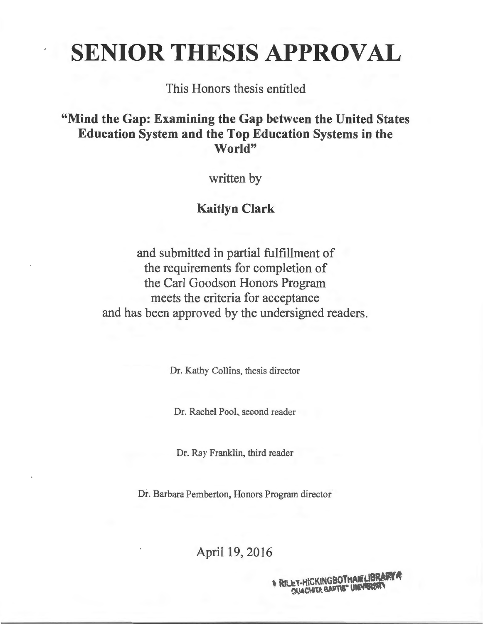# SENIOR THESIS APPROVAL

This Honors thesis entitled

"Mind the Gap: Examining the Gap between the United States Education System and the Top Education Systems in the World"

written by

## Kaitlyn Clark

and submitted in partial fulfillment of the requirements for completion of the Carl Goodson Honors Program meets the criteria for acceptance and has been approved by the undersigned readers.

Dr. Kathy Collins, thesis director

Dr. Rachel Pool, second reader

Dr. Ray Franklin, third reader

Dr. Barbara Pemberton, Honors Program director

April 19, 2016

EY-HICKINGBOTHANELIBRARY **DUACHITA BAPTIS" UNIVERSITY**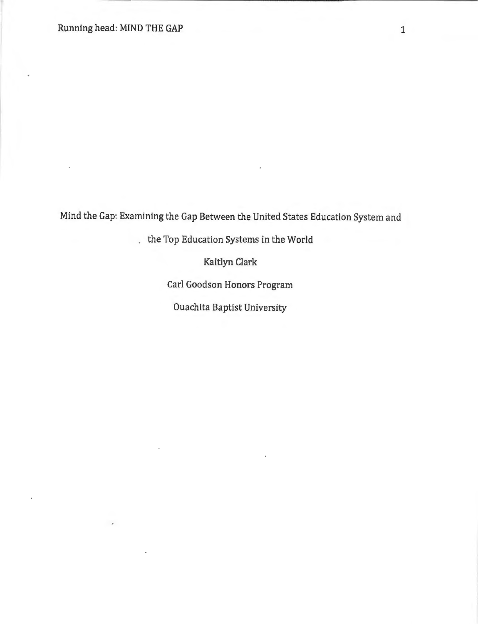$\overline{\phantom{a}}$ 

Mind the Gap: Examining the Gap Between the United States Education System and

the Top Education Systems in the World

Kaitlyn Clark

Carl Goodson Honors Program

Ouachita Baptist University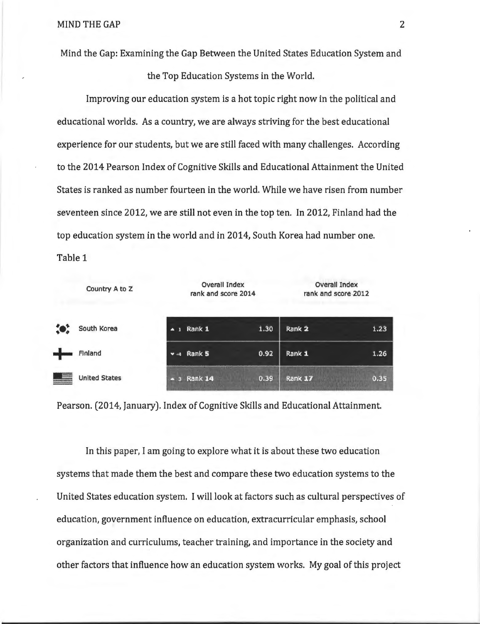Mind the Gap: Examining the Gap Between the United States Education System and

the Top Education Systems in the World.

Improving our education system is a hot topic right now in the political and educational worlds. As a country, we are always striving for the best educational experience for our students, but we are still faced with many challenges. According to the 2014 Pearson Index of Cognitive Skills and Educational Attainment the United States is ranked as number fourteen in the world. While we have risen from number seventeen since 2012, we are still not even in the top ten. In 2012, Finland had the top education system in the world and in 2014, South Korea had number one. Table 1

|           | Country A to Z       | <b>Overall Index</b><br>rank and score 2014 |      | <b>Overall Index</b><br>rank and score 2012 |      |
|-----------|----------------------|---------------------------------------------|------|---------------------------------------------|------|
| $\bullet$ | South Korea          | $-1$ Rank 1                                 | 1.30 | Rank 2                                      | 1.23 |
| <b></b>   | Finland              | via Rank 5                                  | 0.92 | Rank 1                                      | 1.26 |
|           | <b>United States</b> | Rank 14<br>×                                | 0.39 | Rank 17                                     | 0.35 |

Pearson. (2014, January). Index of Cognitive Skills and Educational Attainment.

In this paper, I am going to explore what it is about these two education systems that made them the best and compare these two education systems to the United States education system. I will look at factors such as cultural perspectives of education, government influence on education, extracurricular emphasis, school organization and curriculums, teacher training, and importance in the society and other factors that influence how an education system works. My goal of this project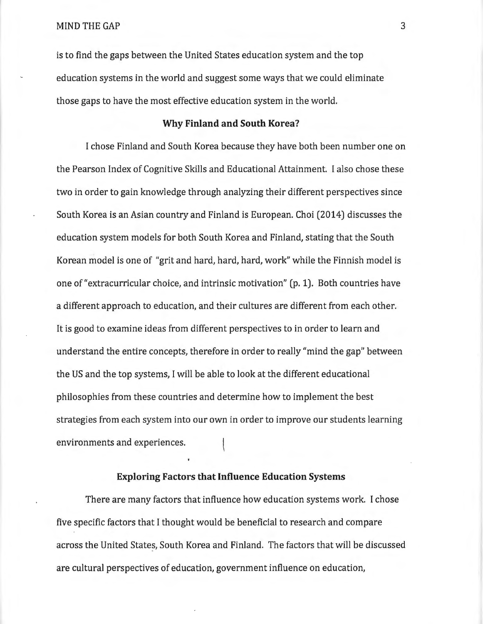is to find the gaps between the United States education system and the top education systems in the world and suggest some ways that we could eliminate those gaps to have the most effective education system in the world.

#### **Why Finland and South Korea?**

I chose Finland and South Korea because they have both been number one on the Pearson Index of Cognitive Skills and Educational Attainment. I also chose these two in order to gain knowledge through analyzing their different perspectives since South Korea is an Asian country and Finland is European. Choi (2014) discusses the education system models for both South Korea and Finland, stating that the South Korean model is one of "grit and hard, hard, hard, work" while the Finnish model is one of "extracurricular choice, and intrinsic motivation" (p. **1).** Both countries have a different approach to education, and their cultures are different from each other. It is good to examine ideas from different perspectives to in order to learn and understand the entire concepts, therefore in order to really "mind the gap" between the US and the top *systems,* I will be able to look at the different educational philosophies from these countries and determine how to implement the best strategies from each system into our own in order to improve our students learning environments and experiences.

#### **Exploring Factors that Influence Education Systems**

There are many factors that influence how education systems work. I chose five specific factors that I thought would be beneficial to research and compare across the United *States,* South Korea and Finland. The factors that will be discussed are cultural perspectives of education, government influence on education,

3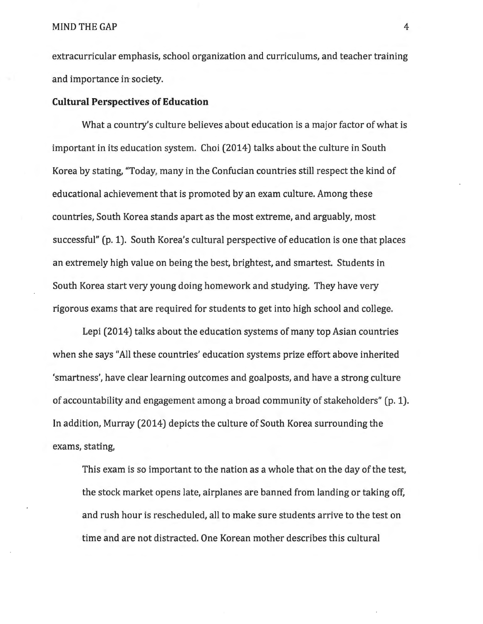extracurricular emphasis, school organization and curriculums, and teacher training and importance in society.

#### **Cultural Perspectives of Education**

What a country's culture believes about education is a major factor of what is important in its education system. Choi (2014) talks about the culture in South Korea by stating, "Today, many in the Confucian countries still respect the kind of educational achievement that is promoted by an exam culture. Among these countries, South Korea stands apart as the most extreme, and arguably, most successful" (p. 1). South Korea's cultural perspective of education is one that places an extremely high value on being the best, brightest, and smartest. Students in South Korea start very young doing homework and studying. They have very rigorous exams that are required for students to get into high school and college.

Lepi (2014) talks about the education systems of many top Asian countries when she says "All these countries' education systems prize effort above inherited 'smartness', have clear learning outcomes and goalposts, and have a strong culture of accountability and engagement among a broad community of stakeholders" (p. 1). In addition, Murray (2014) depicts the culture of South Korea surrounding the exams, stating,

This exam is so important to the nation as a whole that on the day of the test, the stock market opens late, airplanes are banned from landing or taking off, and rush hour is rescheduled, all to make sure students arrive to the test on time and are not distracted. One Korean mother describes this cultural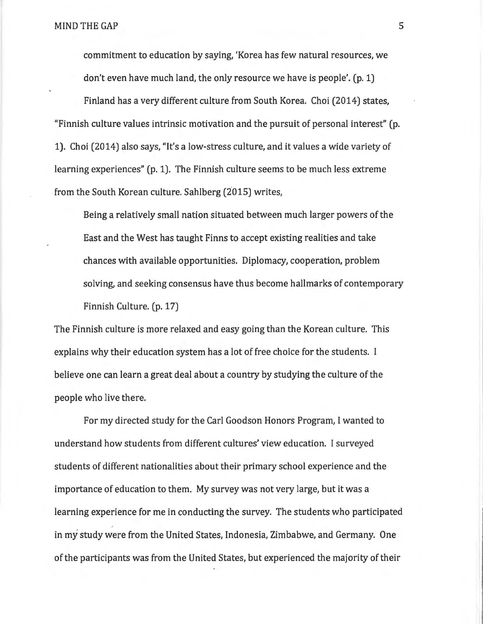commitment to education by saying, 'Korea has few natural resources, we don't even have much land, the only resource we have is people'. (p. 1)

Finland has a very different culture from South Korea. Choi (2014) states, "Finnish culture values intrinsic motivation and the pursuit of personal interest" (p. 1). Choi (2014) also says, "It's a low-stress culture, and it values a wide variety of learning experiences" (p. 1). The Finnish culture seems to be much less extreme from the South Korean culture. Sahlberg (2015) writes,

Being a relatively small nation situated between much larger powers of the East and the West has taught Finns to accept existing realities and take chances with available opportunities. Diplomacy, cooperation, problem solving, and seeking consensus have thus become hallmarks of contemporary Finnish Culture. (p. 17)

The Finnish culture is more relaxed and easy going than the Korean culture. This explains why their education system has a lot of free choice for the students. I believe one can learn a great deal about a country by studying the culture of the people who live there.

For my directed study for the Carl Goodson Honors Program, I wanted to understand how students from different cultures' view education. I surveyed students of different nationalities about their primary school experience and the importance of education to them. My survey was not very large, but it was a learning experience for me in conducting the survey. The students who participated in my study were from the United States, Indonesia, Zimbabwe, and Germany. One of the participants was from the United States, but experienced the majority of their

5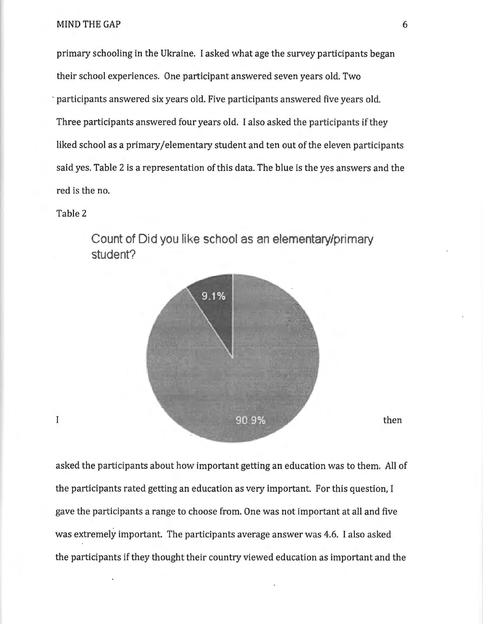primary schooling in the Ukraine. I asked what age the survey participants began their school experiences. One participant answered seven years old. Two participants answered six years old. Five participants answered five years old. Three participants answered four years old. I also asked the participants if they liked school as a primary/elementary student and ten out of the eleven participants said yes. Table 2 is a representation of this data. The blue is the yes answers and the red is the no.

#### Table 2

 $\mathbf I$ 



Count of Did you like school as an elementary/primary **student?** 

then

asked the participants about how important getting an education was to them. All of the participants rated getting an education as very important. For this question, I gave the participants a range to choose from. One was not important at all and five was extremely important. The participants average answer was 4.6. I also asked the participants if they thought their country viewed education as important and the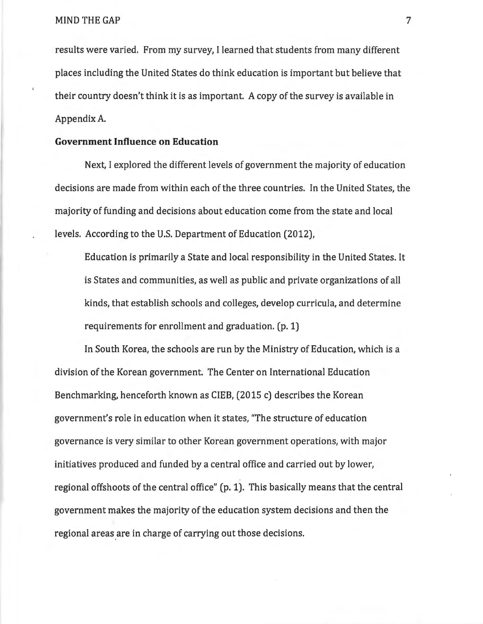results were varied. From my survey, I learned that students from many different places including the United States do think education is important but believe that their country doesn't think it is as important. A copy of the survey is available in Appendix A.

#### **Government Influence on Education**

Next, I explored the different levels of government the majority of education decisions are made from within each of the three countries. In the United States, the majority of funding and decisions about education come from the state and local levels. According to the U.S. Department of Education (2012),

Education is primarily a State and local responsibility in the United States. It is States and communities, as well as public and private organizations of all kinds, that establish schools and colleges, develop curricula, and determine requirements for enrollment and graduation. (p. 1)

In South Korea, the schools are run by the Ministry of Education, which is a division of the Korean government. The Center on International Education Benchmarking, henceforth known as CIEB, (2015 c) describes the Korean government's role in education when it states, "The structure of education governance is very similar to other Korean government operations, with major initiatives produced and funded by a central office and carried out by lower, regional offshoots of the central office" (p. 1). This basically means that the central government makes the majority of the education system decisions and then the regional areas are in charge of carrying out those decisions.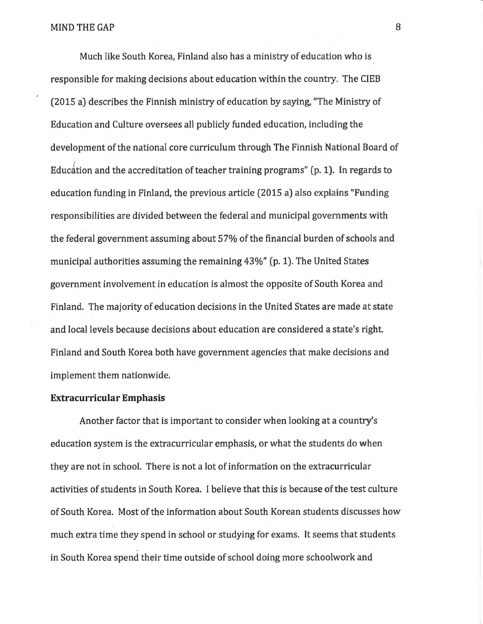Much like South Korea, Finland also has a ministry of education who is responsible for making decisions about education within the country. The CIEB (2015 a) describes the Finnish ministry of education by saying, "The Ministry of Education and Culture oversees all publicly funded education, including the development of the national core curriculum through The Finnish National Board of Education and the accreditation of teacher training programs" (p. 1). In regards to education funding in Finland, the previous article (2015 a) also explains "Funding responsibilities are divided between the federal and municipal governments with the federal government assuming about 57% of the financial burden of schools and municipal authorities assuming the remaining 43%" (p. 1). The United States government involvement in education is almost the opposite of South Korea and Finland. The majority of education decisions in the United States are made at state and local levels because decisions about education are considered a *state's* right Finland and South Korea both have government agencies that make decisions and implement them nationwide.

#### **Extracurricular Emphasis**

Another factor that is important to consider when looking at a country's education system is the extracurricular emphasis, or what the students do when they are not in school. There is not a lot of information on the extracurricular activities of students in South Korea. I believe that this is because of the test culture of South Korea. Most of the information about South Korean students discusses how much extra time they spend in school or studying for exams. It seems that students in South Korea spend their time outside of school doing more schoolwork and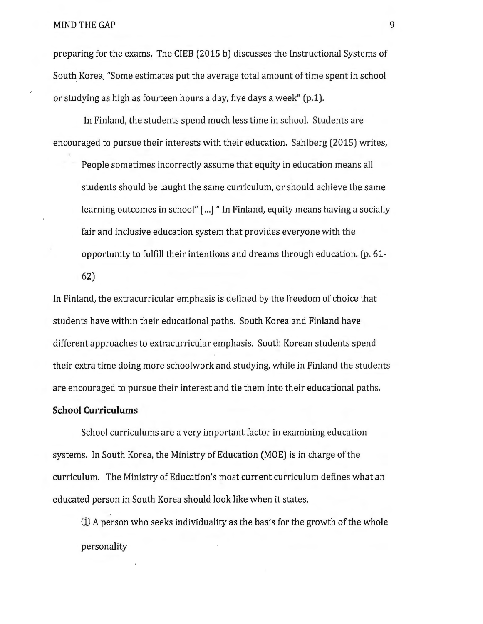preparing for the exams. The CIEB (2015 b) discusses the Instructional Systems of South. *Korea,* "Some estimates put the average total amount of time spent in school or studying as high as fourteen hours a *day,* five days a week" (p.1).

In Finland, the students spend much less time in school. Students are encouraged to pursue their interests with their education. Sahlberg (2015) writes,

People sometimes incorrectly assume that equity in education means all students should be taught the same curriculum, or should achieve the same learning outcomes in school" [...] "In Finland, equity means having a socially fair and inclusive education system that provides everyone with the opportunity to fulfill their intentions and dreams through education. (p. 61- 62)

In Finland, the extracurricular emphasis is defined by the freedom of choice that students have within their educational paths. South Korea and Finland have different approaches to extracurricular emphasis. South Korean students spend their extra time doing more schoolwork and studying, while in Finland the students are encouraged to pursue their interest and tie them into their educational paths.

#### **School Curriculums**

School curriculums are a very important factor in examining education systems. In South *Korea,* the Ministry of Education (MOE) is in charge of the curriculum. The Ministry of Education's most current curriculum defines what an educated person in South Korea should look like when it *states,* 

CD A person who seeks individuality as the basis for the growth of the whole personality

9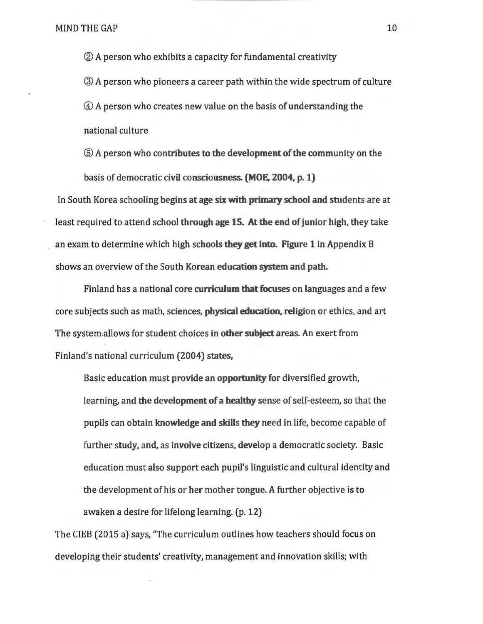®A person who exhibits a capacity for fundamental creativity ®A person who pioneers a career path within the wide spectrum of culture @ A person who creates new value on the basis of understanding the national culture

® A person who contributes to the development of the community on the basis of democratic civil consciousness. (MOE. 2004, p. 1)

In South Korea schooling begins at age six with primary school and students are at least required to attend school through age 15. At the end of junior high, they take an exam to determine which high schools they get into. Figure 1 in Appendix B shows an overview of the South Korean education system and path.

Finland has a national core curriculum that focuses on languages and a few core subjects such as math, sciences, physical education. religion or ethics, and art The system allows for student choices in other subject areas. An exert from Finland's national curriculum (2004) states,

Basic education must provide an opportunity for diversified growth, learning, and the development of a healthy sense of self-esteem, so that the pupils can obtain knowledge and skills they need in life, become capable of further study, and, as involve citizens, develop a democratic society. Basic education must also support each pupil's linguistic and cultural identity and the development of his or her mother tongue. A further objective is to awaken a desire for lifelong learning. (p. 12)

The CIEB (2015 a) says, "The curriculum outlines how teachers should focus on developing their students' creativity, management and innovation skills; with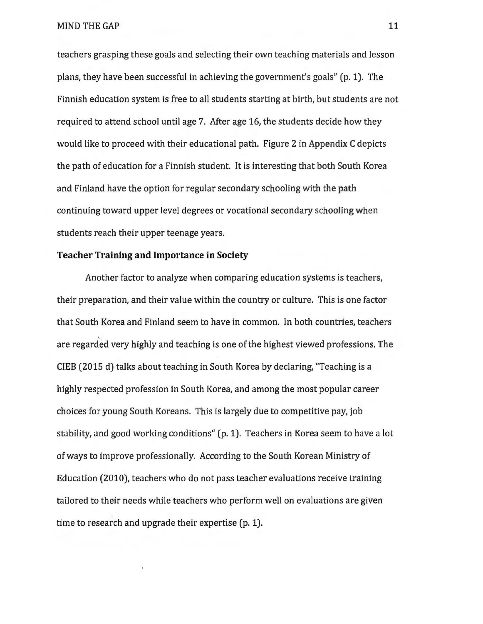teachers grasping these goals and selecting their own teaching materials and lesson plans, they have been successful in achieving the government's goals" (p. 1). The Finnish education system is free to all students starting at birth, but students are not required to attend school until age 7. After age *16,* the students decide how they would like to proceed with their educational path. Figure 2 in Appendix C depicts the path of education for a Finnish student. It is interesting that both South Korea and Finland have the option for regular secondary schooling with the path continuing toward upper level degrees or vocational secondary schooling when students reach their upper teenage years.

#### Teacher Training and Importance in Society

Another factor to analyze when comparing education systems is teachers, their preparation, and their value within the country or culture. This is one factor that South Korea and Finland seem to have in common. In both countries, teachers are regarded very highly and teaching is one of the highest viewed professions. The CIEB (2015 d) talks about teaching in South Korea by declaring, "Teaching is a highly respected profession in South Korea, and among the most popular career choices for young South Koreans. This is largely due to competitive pay, job stability, and good working conditions" (p. 1). Teachers in Korea seem to have a lot of ways to improve professionally. According to the South Korean Ministry of Education (2010), teachers who do not pass teacher evaluations receive training tailored to their needs while teachers who perform well on evaluations are given time to research and upgrade their expertise (p. 1).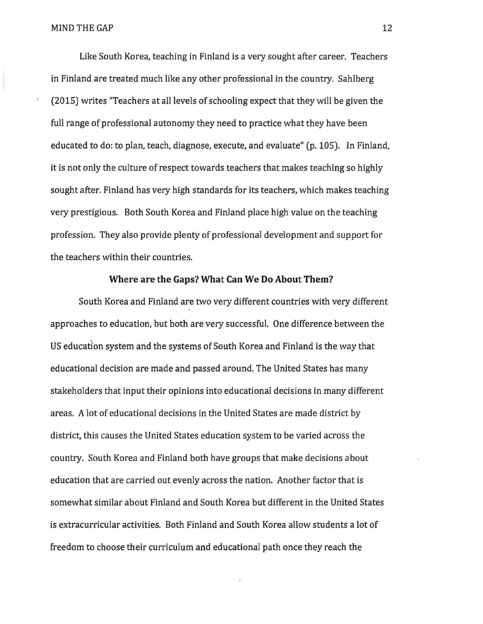Like South Korea, teaching in Finland is a very sought after career. Teachers in Finland are treated much like any other professional in the country. Sahlberg (2015) writes "Teachers at all levels of schooling expect that they will be given the full range of professional autonomy they need to practice what they have been educated to do: to plan, teach, diagnose, execute, and evaluate" (p. 105). In Finland, it is not only the culture of respect towards teachers that makes teaching so highly sought after. Finland has very high standards for its teachers, which makes teaching very prestigious. Both South Korea and Finland place high value on the teaching profession. They also provide plenty of professional development and support for the teachers within their countries.

#### Where are the Gaps? What Can We Do About Them?

South Korea and Finland are two very different countries with very different approaches to education, but both are very successful. One difference between the US education system and the systems of South Korea and Finland is the way that educational decision are made and passed around. The United States has many stakeholders that input their opinions into educational decisions in many different areas. A lot of educational decisions in the United States are made district by district, this causes the United States education system to be varied across the country. South Korea and Finland both have groups that make decisions about education that are carried out evenly across the nation. Another factor that is somewhat similar about Finland and South Korea but different in the United States is extracurricular activities. Both Finland and South Korea allow students a lot of freedom to choose their curriculum and educational path once they reach the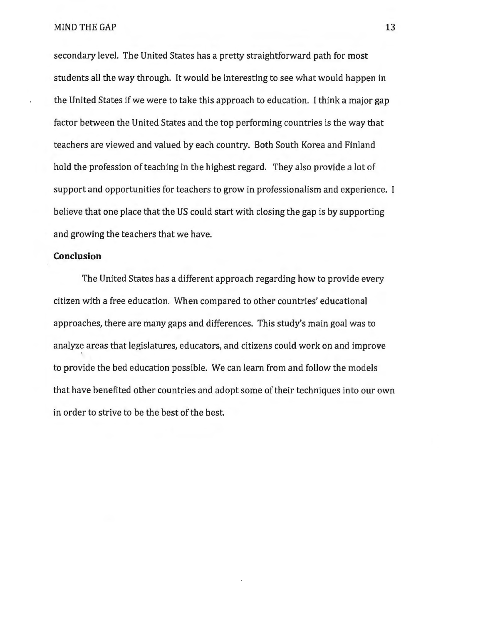secondary level. The United States has a pretty straightforward path for most students all the way through. It would be interesting to see what would happen in the United States if we were to take this approach to education. I think a major gap factor between the United States and the top performing countries is the way that teachers are viewed and valued by each country. Both South Korea and Finland hold the profession of teaching in the highest regard. They also provide a lot of support and opportunities for teachers to grow in professionalism and experience. I believe that one place that the US could start with closing the gap is by supporting and growing the teachers that we have.

#### **Conclusion**

The United States has a different approach regarding how to provide every citizen with a free education. When compared to other countries' educational approaches, there are many gaps and differences. This study's main goal was to analyze areas that legislatures, educators, and citizens could work on and improve I to provide the bed education possible. We can learn from and follow the models that have benefited other countries and adopt some of their techniques into our own in order to strive to be the best of the best.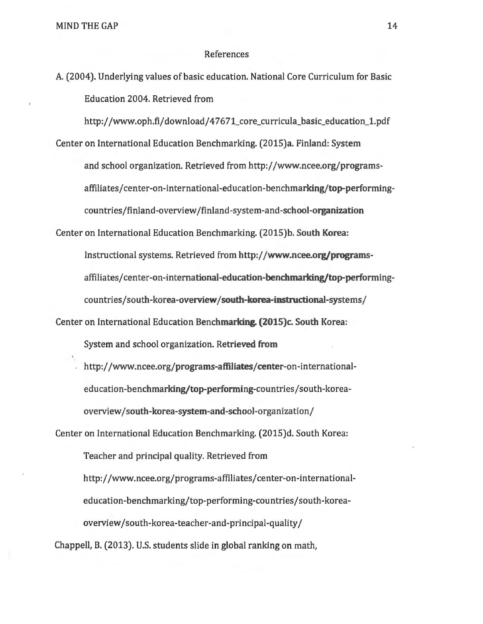#### References

A. (2004). Underlying values of basic education. National Core Curriculum for Basic Education 2004. Retrieved from

http://www.oph.fi/download/47671\_core\_curricula\_basic\_education\_1.pdf Center on International Education Benchmarking. (2015)a. Finland: System and school organization. Retrieved from http://www.ncee.org/programsaffiliates/center-on-international-education-benchmarking/top-performingcountries/finland-overview /finland-system-and-school-organization

Center on International Education Benchmarking. (2015)b. South Korea: Instructional systems. Retrieved from http://www.ncee.org/programsaffiliates/center-on-international-education-benchmarking/top-performingcountries/south-korea-overview/south-korea-instructional-systems/

Center on International Education Benchmarking. (2015)c. South Korea:

System and school organization. Retrieved from

http://www.ncee.org/programs-affiliates/center-on-internationaleducation-benchmarking/top-performing-countries/south-koreaoverview/south-korea-system-and-school-organization/

Center on International Education Benchmarking. (2015)d. South Korea: Teacher and principal quality. Retrieved from http://www.ncee.org/programs-affiliates/center-on-internationaleducation-benchmarking/top-performing-countries/south-koreaoverview/south-korea-teacher-and-principal-quality/

Chappell, B. (2013). U.S. students slide in global ranking on math,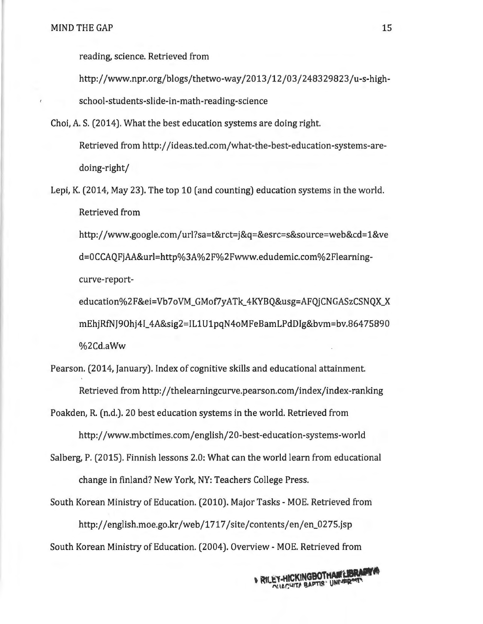reading, science. Retrieved from

http://www.npr.org/blogs/thetwo-way/2013/12/03/248329823/u-s-highschool-students-slide-in-math-reading-science

Choi, A. S. (2014). What the best education systems are doing right.

Retrieved from http://ideas.ted.com/what-the-best-education-systems-aredoing-right/

Lepi, K. (2014, May 23). The top 10 (and counting) education systems in the world. Retrieved from

http://www.google.com/url?sa=t&rct=j&q=&esrc=s&source=web&cd=1&ve d=OCCAQFjAA&url=http%3A%2F%2Fwww.edudemic.com%2Fleamingcurve-report-

education%2F&ei=Vb7oVM\_GMof7yATk\_ 4KYBQ&usg=AFQjCNGASzCSNQX\_X mEhjRfNJ90hj4I\_ 4A&sig2=IL1U1pqN4oMFeBamLPdDig&bvm=bv.86475890 %2Cd.aWw

Pearson. (2014, January). Index of cognitive skills and educational attainment. Retrieved from http://thelearningcurve.pearson.com/index/index-ranking

Poakden, R. (n.d.). 20 best education systems in the world. Retrieved from

http://www.mbctimes.com/english/20-best-education-systems-world

- Salberg, P. (2015). Finnish lessons 2.0: What can the world learn from educational change in finland? New York, NY: Teachers College Press.
- South Korean Ministry of Education. (2010). Major Tasks- MOE. Retrieved from http://english.moe.go.kr/web/1717/site/contents/en/en\_0275.jsp South Korean Ministry of Education. (2004 ). Overview- MOE. Retrieved from

**NRILEY-HICKINGBOTHAWLIBRARYA EY-HICKINGBOTTAN LIBROST**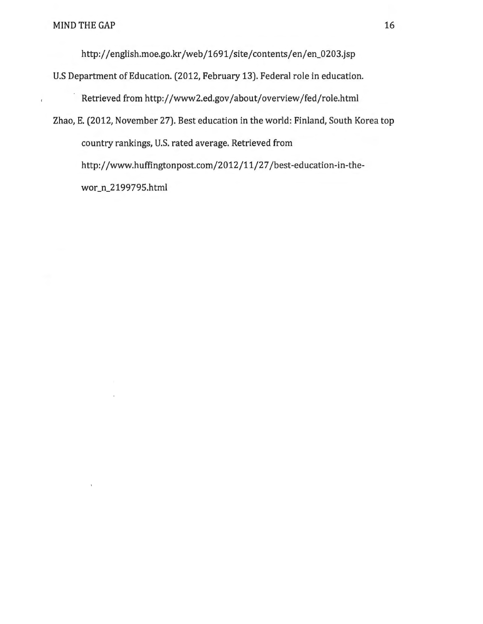$\overline{t}$ 

http://english.moe.go.kr/web/1691/site/contents/en/en\_0203.jsp

U.S Department of Education. (2012, February 13). Federal role in education.

Retrieved from http://www2.ed.gov/about/overview/fed/role.html

Zhao, E. (2012, November 27). Best education in the world: Finland, South Korea top country rankings, U.S. rated average. Retrieved from http://www.huffingtonpost.com/2012/11/27/best-education-in-thewor\_n\_2199795.html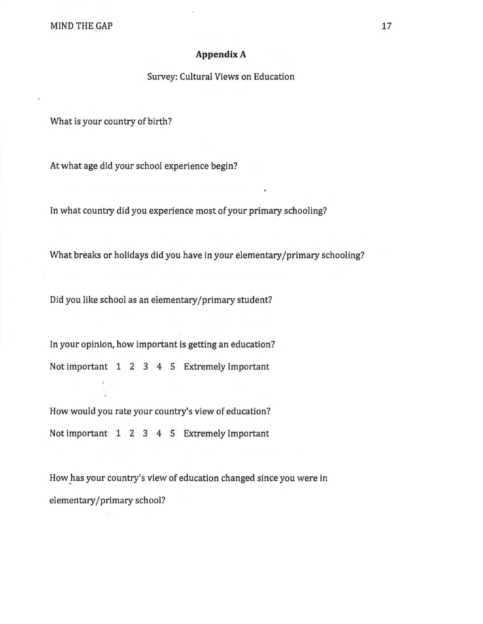#### **Appendix A**

#### Survey: Cultural Views on Education

What is your country of birth?

At what age did your school experience begin?

In what country did you experience most of your primary schooling?

What breaks or holidays did you have in your elementary/primary schooling?

Did you like school as an elementary /primary student?

In your opinion, how important is getting an education? Not important 1 2 3 4 5 Extremely Important

How would you rate your country's view of education? Not important 1 2 3 4 5 Extremely Important

How has your country's view of education changed since you were in elementary/primary school?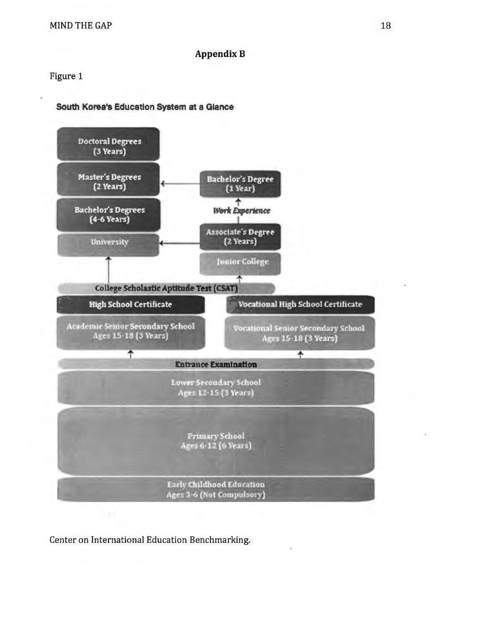#### **AppendixB**

Figure 1

#### **South Korea's Education System at a Glance**



Center on International Education Benchmarking.